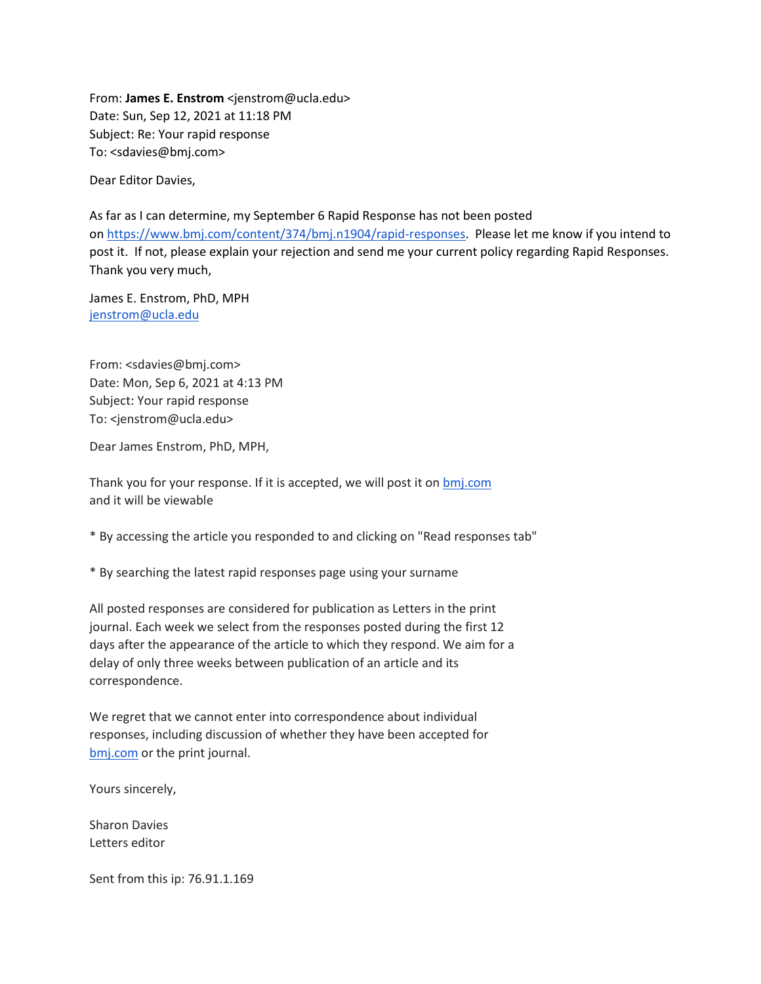From: **James E. Enstrom** <jenstrom@ucla.edu> Date: Sun, Sep 12, 2021 at 11:18 PM Subject: Re: Your rapid response To: <sdavies@bmj.com>

Dear Editor Davies,

As far as I can determine, my September 6 Rapid Response has not been posted on [https://www.bmj.com/content/374/bmj.n1904/rapid-responses.](https://www.bmj.com/content/374/bmj.n1904/rapid-responses) Please let me know if you intend to post it. If not, please explain your rejection and send me your current policy regarding Rapid Responses. Thank you very much,

James E. Enstrom, PhD, MPH [jenstrom@ucla.edu](mailto:jenstrom@ucla.edu)

From: <sdavies@bmj.com> Date: Mon, Sep 6, 2021 at 4:13 PM Subject: Your rapid response To: <jenstrom@ucla.edu>

Dear James Enstrom, PhD, MPH,

Thank you for your response. If it is accepted, we will post it on **[bmj.com](http://bmj.com/)** and it will be viewable

\* By accessing the article you responded to and clicking on "Read responses tab"

\* By searching the latest rapid responses page using your surname

All posted responses are considered for publication as Letters in the print journal. Each week we select from the responses posted during the first 12 days after the appearance of the article to which they respond. We aim for a delay of only three weeks between publication of an article and its correspondence.

We regret that we cannot enter into correspondence about individual responses, including discussion of whether they have been accepted for [bmj.com](http://bmj.com/) or the print journal.

Yours sincerely,

Sharon Davies Letters editor

Sent from this ip: 76.91.1.169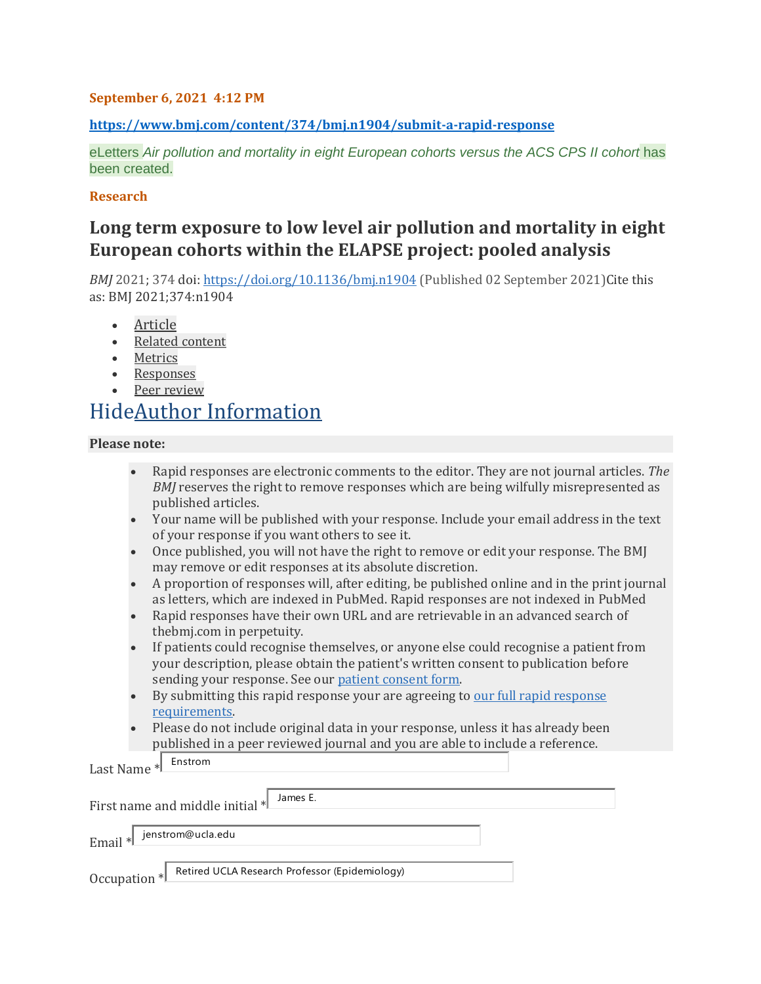### **September 6, 2021 4:12 PM**

**<https://www.bmj.com/content/374/bmj.n1904/submit-a-rapid-response>**

eLetters *Air pollution and mortality in eight European cohorts versus the ACS CPS II cohort* has been created.

#### **Research**

### **Long term exposure to low level air pollution and mortality in eight European cohorts within the ELAPSE project: pooled analysis**

*BMJ* 2021; 374 doi: <https://doi.org/10.1136/bmj.n1904> (Published 02 September 2021)Cite this as: BMJ 2021;374:n1904

- [Article](https://www.bmj.com/content/374/bmj.n1904)
- [Related](https://www.bmj.com/content/374/bmj.n1904/related) content
- [Metrics](https://www.bmj.com/content/374/bmj.n1904/article-info)
- **[Responses](https://www.bmj.com/content/374/bmj.n1904/rapid-responses)**
- Peer [review](https://www.bmj.com/content/374/bmj.n1904/peer-review)

# HideAuthor [Information](https://www.bmj.com/content/374/bmj.n1904/submit-a-rapid-response)

### **Please note:**

- Rapid responses are electronic comments to the editor. They are not journal articles. *The BMJ* reserves the right to remove responses which are being wilfully misrepresented as published articles.
- Your name will be published with your response. Include your email address in the text of your response if you want others to see it.
- Once published, you will not have the right to remove or edit your response. The BMJ may remove or edit responses at its absolute discretion.
- A proportion of responses will, after editing, be published online and in the print journal as letters, which are indexed in PubMed. Rapid responses are not indexed in PubMed
- Rapid responses have their own URL and are retrievable in an advanced search of thebmj.com in perpetuity.
- If patients could recognise themselves, or anyone else could recognise a patient from your description, please obtain the patient's written consent to publication before sending your response. See our patient [consent](https://www.bmj.com/about-bmj/resources-authors/forms-policies-and-checklists/patient-confidentiality) form.
- By submitting this rapid [response](https://www.bmj.com/about-bmj/resources-readers) your are agreeing to our full rapid response [requirements.](https://www.bmj.com/about-bmj/resources-readers)
- Please do not include original data in your response, unless it has already been published in a peer reviewed journal and you are able to include a reference.

Last Name \* Enstrom

First name and middle initial \* James E. Email \* jenstrom@ucla.edu Occupation \* Retired UCLA Research Professor (Epidemiology)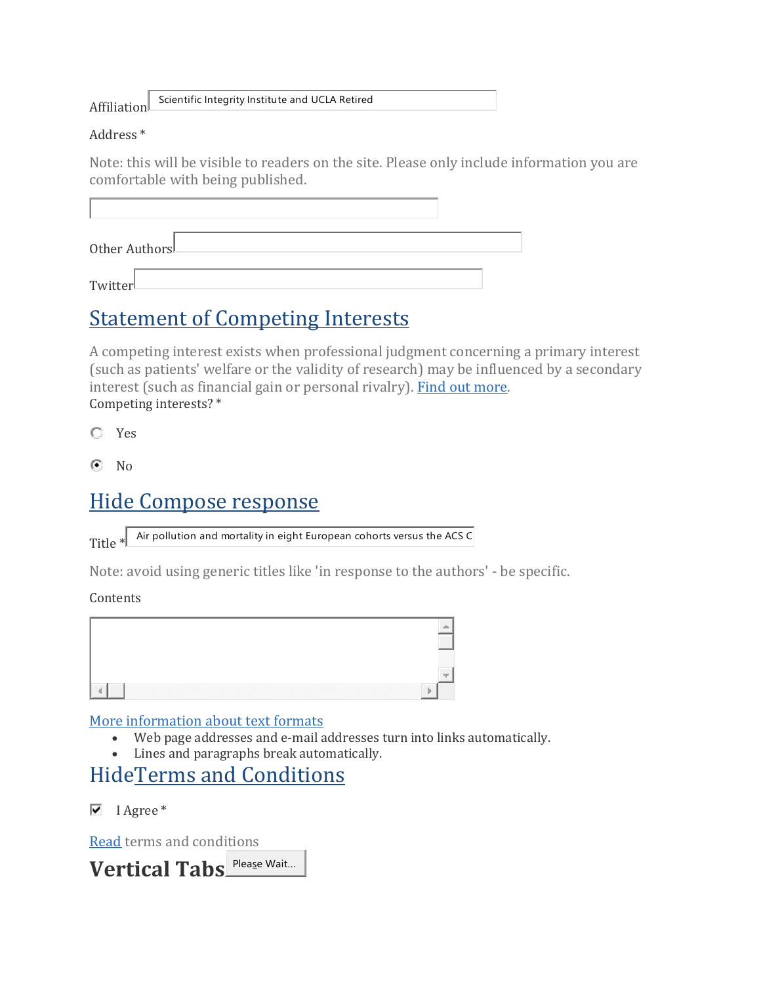Affiliation

Scientific Integrity Institute and UCLA Retired

### Address \*

Note: this will be visible to readers on the site. Please only include information you are comfortable with being published.

| Other AuthorsL |  |  |  |
|----------------|--|--|--|
| Twitter        |  |  |  |

# Statement of [Competing](https://www.bmj.com/content/374/bmj.n1904/submit-a-rapid-response#edit-highwire-comment-ci-fieldset) Interests

A competing interest exists when professional judgment concerning a primary interest (such as patients' welfare or the validity of research) may be influenced by a secondary interest (such as financial gain or personal rivalry). Find out [more.](https://www.bmj.com/about-bmj/resources-authors/forms-policies-and-checklists/declaration-competing-interests) Competing interests? \*

Yes

 $\odot$  No

# Hide [Compose](https://www.bmj.com/content/374/bmj.n1904/submit-a-rapid-response) response

Title  $*$ Air pollution and mortality in eight European cohorts versus the ACS C

Note: avoid using generic titles like 'in response to the authors' - be specific.

### **Contents**



### More [information](https://www.bmj.com/filter/tips) about text formats

- Web page addresses and e-mail addresses turn into links automatically.
- Lines and paragraphs break automatically.

## [HideTerms](https://www.bmj.com/content/374/bmj.n1904/submit-a-rapid-response) and Conditions

 $\overline{\triangledown}$  I Agree \*

[Read](https://www.bmj.com/about-bmj/resources-readers) terms and conditions

Vertical Tabs Please Wait...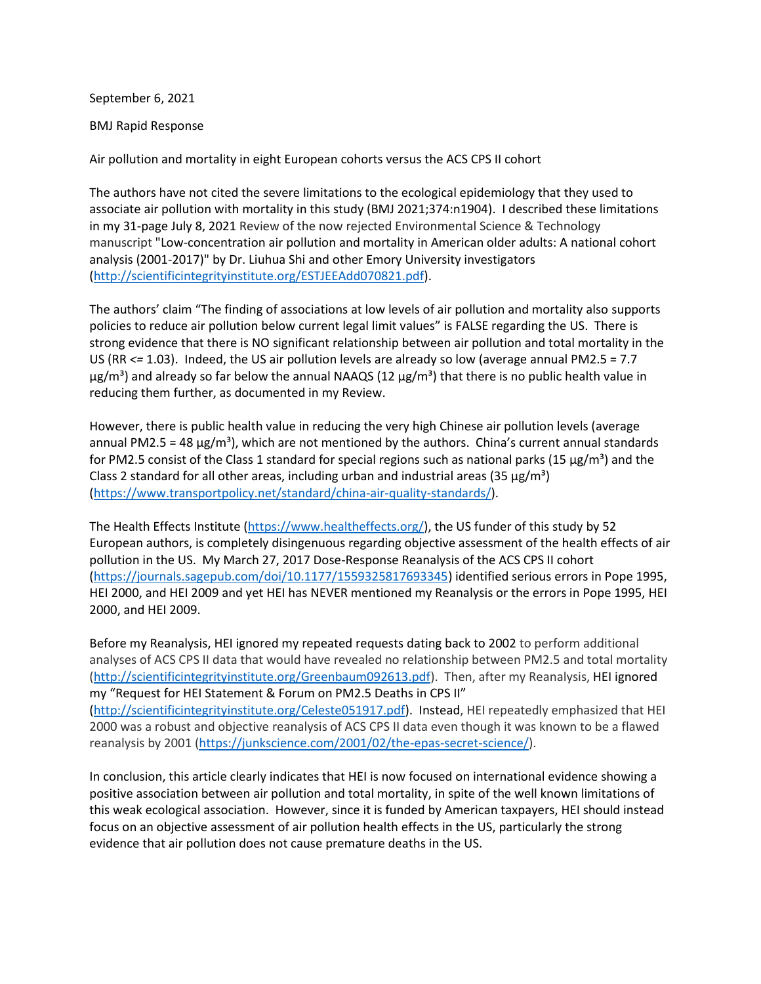September 6, 2021

BMJ Rapid Response

Air pollution and mortality in eight European cohorts versus the ACS CPS II cohort

The authors have not cited the severe limitations to the ecological epidemiology that they used to associate air pollution with mortality in this study (BMJ 2021;374:n1904). I described these limitations in my 31-page July 8, 2021 Review of the now rejected Environmental Science & Technology manuscript "Low-concentration air pollution and mortality in American older adults: A national cohort analysis (2001-2017)" by Dr. Liuhua Shi and other Emory University investigators [\(http://scientificintegrityinstitute.org/ESTJEEAdd070821.pdf\)](http://scientificintegrityinstitute.org/ESTJEEAdd070821.pdf).

The authors' claim "The finding of associations at low levels of air pollution and mortality also supports policies to reduce air pollution below current legal limit values" is FALSE regarding the US. There is strong evidence that there is NO significant relationship between air pollution and total mortality in the US (RR *<=* 1.03). Indeed, the US air pollution levels are already so low (average annual PM2.5 = 7.7  $\mu$ g/m<sup>3</sup>) and already so far below the annual NAAQS (12  $\mu$ g/m<sup>3</sup>) that there is no public health value in reducing them further, as documented in my Review.

However, there is public health value in reducing the very high Chinese air pollution levels (average annual PM2.5 = 48  $\mu$ g/m<sup>3</sup>), which are not mentioned by the authors. China's current annual standards for PM2.5 consist of the Class 1 standard for special regions such as national parks (15  $\mu$ g/m<sup>3</sup>) and the Class 2 standard for all other areas, including urban and industrial areas (35  $\mu$ g/m<sup>3</sup>) [\(https://www.transportpolicy.net/standard/china-air-quality-standards/\)](https://www.transportpolicy.net/standard/china-air-quality-standards/).

The Health Effects Institute [\(https://www.healtheffects.org/\)](https://www.healtheffects.org/), the US funder of this study by 52 European authors, is completely disingenuous regarding objective assessment of the health effects of air pollution in the US. My March 27, 2017 Dose-Response Reanalysis of the ACS CPS II cohort [\(https://journals.sagepub.com/doi/10.1177/1559325817693345\)](https://journals.sagepub.com/doi/10.1177/1559325817693345) identified serious errors in Pope 1995, HEI 2000, and HEI 2009 and yet HEI has NEVER mentioned my Reanalysis or the errors in Pope 1995, HEI 2000, and HEI 2009.

Before my Reanalysis, HEI ignored my repeated requests dating back to 2002 to perform additional analyses of ACS CPS II data that would have revealed no relationship between PM2.5 and total mortality [\(http://scientificintegrityinstitute.org/Greenbaum092613.pdf\)](http://scientificintegrityinstitute.org/Greenbaum092613.pdf). Then, after my Reanalysis, HEI ignored my "Request for HEI Statement & Forum on PM2.5 Deaths in CPS II" [\(http://scientificintegrityinstitute.org/Celeste051917.pdf\)](http://scientificintegrityinstitute.org/Celeste051917.pdf). Instead, HEI repeatedly emphasized that HEI 2000 was a robust and objective reanalysis of ACS CPS II data even though it was known to be a flawed reanalysis by 2001 [\(https://junkscience.com/2001/02/the-epas-secret-science/\)](https://junkscience.com/2001/02/the-epas-secret-science/).

In conclusion, this article clearly indicates that HEI is now focused on international evidence showing a positive association between air pollution and total mortality, in spite of the well known limitations of this weak ecological association. However, since it is funded by American taxpayers, HEI should instead focus on an objective assessment of air pollution health effects in the US, particularly the strong evidence that air pollution does not cause premature deaths in the US.